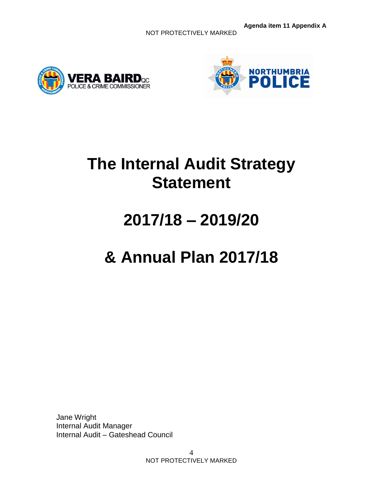NOT PROTECTIVELY MARKED





## **The Internal Audit Strategy Statement**

# **2017/18 – 2019/20**

# **& Annual Plan 2017/18**

Jane Wright Internal Audit Manager Internal Audit – Gateshead Council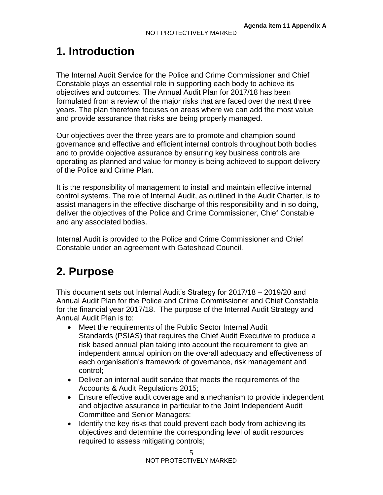## **1. Introduction**

The Internal Audit Service for the Police and Crime Commissioner and Chief Constable plays an essential role in supporting each body to achieve its objectives and outcomes. The Annual Audit Plan for 2017/18 has been formulated from a review of the major risks that are faced over the next three years. The plan therefore focuses on areas where we can add the most value and provide assurance that risks are being properly managed.

Our objectives over the three years are to promote and champion sound governance and effective and efficient internal controls throughout both bodies and to provide objective assurance by ensuring key business controls are operating as planned and value for money is being achieved to support delivery of the Police and Crime Plan.

It is the responsibility of management to install and maintain effective internal control systems. The role of Internal Audit, as outlined in the Audit Charter, is to assist managers in the effective discharge of this responsibility and in so doing, deliver the objectives of the Police and Crime Commissioner, Chief Constable and any associated bodies.

Internal Audit is provided to the Police and Crime Commissioner and Chief Constable under an agreement with Gateshead Council.

## **2. Purpose**

This document sets out Internal Audit's Strategy for 2017/18 – 2019/20 and Annual Audit Plan for the Police and Crime Commissioner and Chief Constable for the financial year 2017/18. The purpose of the Internal Audit Strategy and Annual Audit Plan is to:

- Meet the requirements of the Public Sector Internal Audit Standards (PSIAS) that requires the Chief Audit Executive to produce a risk based annual plan taking into account the requirement to give an independent annual opinion on the overall adequacy and effectiveness of each organisation's framework of governance, risk management and control;
- Deliver an internal audit service that meets the requirements of the Accounts & Audit Regulations 2015;
- Ensure effective audit coverage and a mechanism to provide independent and objective assurance in particular to the Joint Independent Audit Committee and Senior Managers;
- Identify the key risks that could prevent each body from achieving its objectives and determine the corresponding level of audit resources required to assess mitigating controls;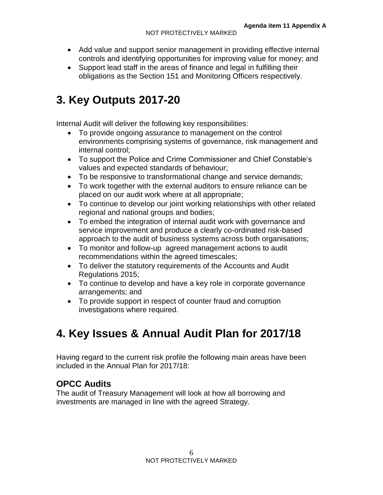- Add value and support senior management in providing effective internal controls and identifying opportunities for improving value for money; and
- Support lead staff in the areas of finance and legal in fulfilling their obligations as the Section 151 and Monitoring Officers respectively.

## **3. Key Outputs 2017-20**

Internal Audit will deliver the following key responsibilities:

- To provide ongoing assurance to management on the control environments comprising systems of governance, risk management and internal control;
- To support the Police and Crime Commissioner and Chief Constable's values and expected standards of behaviour;
- To be responsive to transformational change and service demands;
- To work together with the external auditors to ensure reliance can be placed on our audit work where at all appropriate;
- To continue to develop our joint working relationships with other related regional and national groups and bodies;
- To embed the integration of internal audit work with governance and service improvement and produce a clearly co-ordinated risk-based approach to the audit of business systems across both organisations;
- To monitor and follow-up agreed management actions to audit recommendations within the agreed timescales;
- To deliver the statutory requirements of the Accounts and Audit Regulations 2015;
- To continue to develop and have a key role in corporate governance arrangements; and
- To provide support in respect of counter fraud and corruption investigations where required.

## **4. Key Issues & Annual Audit Plan for 2017/18**

Having regard to the current risk profile the following main areas have been included in the Annual Plan for 2017/18:

#### **OPCC Audits**

The audit of Treasury Management will look at how all borrowing and investments are managed in line with the agreed Strategy.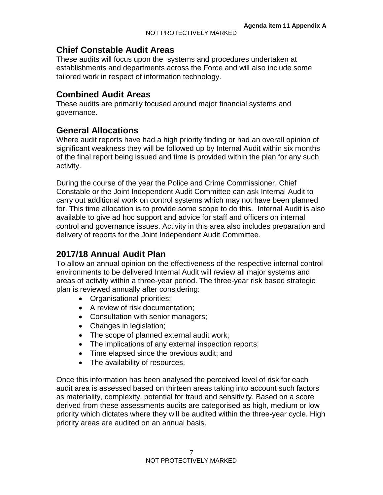#### **Chief Constable Audit Areas**

These audits will focus upon the systems and procedures undertaken at establishments and departments across the Force and will also include some tailored work in respect of information technology.

#### **Combined Audit Areas**

These audits are primarily focused around major financial systems and governance.

#### **General Allocations**

Where audit reports have had a high priority finding or had an overall opinion of significant weakness they will be followed up by Internal Audit within six months of the final report being issued and time is provided within the plan for any such activity.

During the course of the year the Police and Crime Commissioner, Chief Constable or the Joint Independent Audit Committee can ask Internal Audit to carry out additional work on control systems which may not have been planned for. This time allocation is to provide some scope to do this. Internal Audit is also available to give ad hoc support and advice for staff and officers on internal control and governance issues. Activity in this area also includes preparation and delivery of reports for the Joint Independent Audit Committee.

#### **2017/18 Annual Audit Plan**

To allow an annual opinion on the effectiveness of the respective internal control environments to be delivered Internal Audit will review all major systems and areas of activity within a three-year period. The three-year risk based strategic plan is reviewed annually after considering:

- Organisational priorities;
- A review of risk documentation:
- Consultation with senior managers;
- Changes in legislation;
- The scope of planned external audit work;
- The implications of any external inspection reports;
- Time elapsed since the previous audit; and
- The availability of resources.

Once this information has been analysed the perceived level of risk for each audit area is assessed based on thirteen areas taking into account such factors as materiality, complexity, potential for fraud and sensitivity. Based on a score derived from these assessments audits are categorised as high, medium or low priority which dictates where they will be audited within the three-year cycle. High priority areas are audited on an annual basis.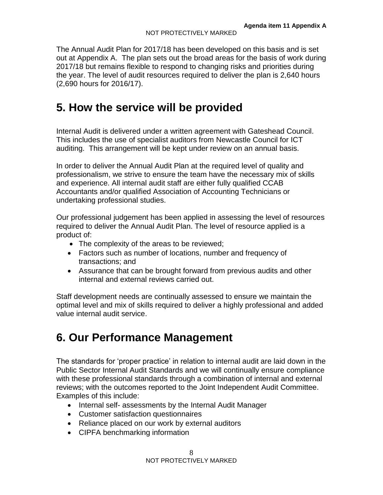The Annual Audit Plan for 2017/18 has been developed on this basis and is set out at Appendix A. The plan sets out the broad areas for the basis of work during 2017/18 but remains flexible to respond to changing risks and priorities during the year. The level of audit resources required to deliver the plan is 2,640 hours (2,690 hours for 2016/17).

## **5. How the service will be provided**

Internal Audit is delivered under a written agreement with Gateshead Council. This includes the use of specialist auditors from Newcastle Council for ICT auditing. This arrangement will be kept under review on an annual basis.

In order to deliver the Annual Audit Plan at the required level of quality and professionalism, we strive to ensure the team have the necessary mix of skills and experience. All internal audit staff are either fully qualified CCAB Accountants and/or qualified Association of Accounting Technicians or undertaking professional studies.

Our professional judgement has been applied in assessing the level of resources required to deliver the Annual Audit Plan. The level of resource applied is a product of:

- The complexity of the areas to be reviewed;
- Factors such as number of locations, number and frequency of transactions; and
- Assurance that can be brought forward from previous audits and other internal and external reviews carried out.

Staff development needs are continually assessed to ensure we maintain the optimal level and mix of skills required to deliver a highly professional and added value internal audit service.

## **6. Our Performance Management**

The standards for 'proper practice' in relation to internal audit are laid down in the Public Sector Internal Audit Standards and we will continually ensure compliance with these professional standards through a combination of internal and external reviews; with the outcomes reported to the Joint Independent Audit Committee. Examples of this include:

- Internal self- assessments by the Internal Audit Manager
- Customer satisfaction questionnaires
- Reliance placed on our work by external auditors
- CIPFA benchmarking information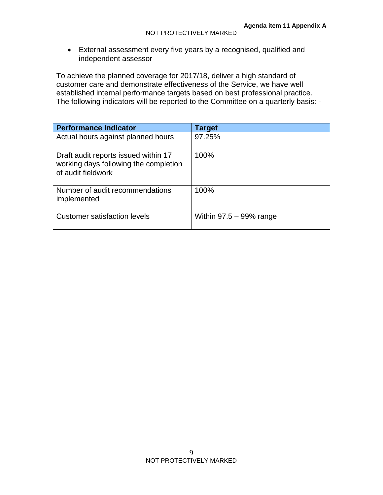External assessment every five years by a recognised, qualified and independent assessor

To achieve the planned coverage for 2017/18, deliver a high standard of customer care and demonstrate effectiveness of the Service, we have well established internal performance targets based on best professional practice. The following indicators will be reported to the Committee on a quarterly basis: -

| <b>Performance Indicator</b>                                                                        | <b>Target</b>              |
|-----------------------------------------------------------------------------------------------------|----------------------------|
| Actual hours against planned hours                                                                  | 97.25%                     |
| Draft audit reports issued within 17<br>working days following the completion<br>of audit fieldwork | 100%                       |
| Number of audit recommendations<br>implemented                                                      | 100%                       |
| <b>Customer satisfaction levels</b>                                                                 | Within $97.5 - 99\%$ range |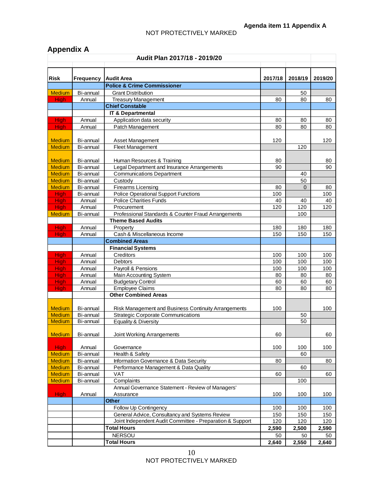#### NOT PROTECTIVELY MARKED

#### **Appendix A**

| Audit Plan 2017/18 - 2019/20 |                  |                                                           |         |             |         |  |
|------------------------------|------------------|-----------------------------------------------------------|---------|-------------|---------|--|
|                              |                  |                                                           |         |             |         |  |
| <b>Risk</b>                  | <b>Frequency</b> | <b>Audit Area</b>                                         | 2017/18 | 2018/19     | 2019/20 |  |
|                              |                  | <b>Police &amp; Crime Commissioner</b>                    |         |             |         |  |
| <b>Medium</b>                | Bi-annual        | <b>Grant Distribution</b>                                 |         | 50          |         |  |
| <b>High</b>                  | Annual           | <b>Treasury Management</b>                                | 80      | 80          | 80      |  |
|                              |                  | <b>Chief Constable</b>                                    |         |             |         |  |
|                              |                  | <b>IT &amp; Departmental</b>                              |         |             |         |  |
| <b>High</b>                  | Annual           | Application data security                                 | 80      | 80          | 80      |  |
| <b>High</b>                  | Annual           | Patch Management                                          | 80      | 80          | 80      |  |
|                              |                  |                                                           |         |             |         |  |
| <b>Medium</b>                | Bi-annual        | Asset Management                                          | 120     |             | 120     |  |
| <b>Medium</b>                | Bi-annual        | Fleet Management                                          |         | 120         |         |  |
|                              |                  |                                                           |         |             |         |  |
| <b>Medium</b>                | Bi-annual        | Human Resources & Training                                | 80      |             | 80      |  |
| <b>Medium</b>                | Bi-annual        | Legal Department and Insurance Arrangements               | 90      |             | 90      |  |
| <b>Medium</b>                | Bi-annual        | <b>Communications Department</b>                          |         | 40          |         |  |
| <b>Medium</b>                | Bi-annual        | Custody                                                   |         | 50          |         |  |
| <b>Medium</b>                | Bi-annual        | Firearms Licensing                                        | 80      | $\mathbf 0$ | 80      |  |
| High                         | Bi-annual        | <b>Police Operational Support Functions</b>               | 100     |             | 100     |  |
| High                         | Annual           | <b>Police Charities Funds</b>                             | 40      | 40          | 40      |  |
| High                         | Annual           | Procurement                                               | 120     | 120         | 120     |  |
| <b>Medium</b>                | Bi-annual        | Professional Standards & Counter Fraud Arrangements       |         | 100         |         |  |
|                              |                  | <b>Theme Based Audits</b>                                 |         |             |         |  |
| <b>High</b>                  | Annual           | Property                                                  | 180     | 180         | 180     |  |
| High                         | Annual           | Cash & Miscellaneous Income                               | 150     | 150         | 150     |  |
|                              |                  | <b>Combined Areas</b>                                     |         |             |         |  |
|                              |                  | <b>Financial Systems</b>                                  |         |             |         |  |
| <b>High</b>                  | Annual           | Creditors                                                 | 100     | 100         | 100     |  |
| <b>High</b>                  | Annual           | Debtors                                                   | 100     | 100         | 100     |  |
| High                         | Annual           | Payroll & Pensions                                        | 100     | 100         | 100     |  |
| High                         | Annual           | Main Accounting System                                    | 80      | 80          | 80      |  |
| High                         | Annual           | <b>Budgetary Control</b>                                  | 60      | 60          | 60      |  |
| <b>High</b>                  | Annual           | <b>Employee Claims</b>                                    | 80      | 80          | 80      |  |
|                              |                  | <b>Other Combined Areas</b>                               |         |             |         |  |
|                              |                  |                                                           |         |             |         |  |
| <b>Medium</b>                | Bi-annual        | Risk Management and Business Continuity Arrangements      | 100     |             | 100     |  |
| <b>Medium</b>                | Bi-annual        | <b>Strategic Corporate Communications</b>                 |         | 50          |         |  |
| <b>Medium</b>                | Bi-annual        | <b>Equality &amp; Diversity</b>                           |         | 50          |         |  |
| Medium I                     | Bi-annual        |                                                           | 60      |             | 60      |  |
|                              |                  | Joint Working Arrangements                                |         |             |         |  |
| <b>High</b>                  | Annual           | Governance                                                | 100     | 100         | 100     |  |
| <b>Medium</b>                | Bi-annual        | Health & Safety                                           |         | 60          |         |  |
| <b>Medium</b>                | Bi-annual        | Information Governance & Data Security                    | 80      |             | 80      |  |
| <b>Medium</b>                | Bi-annual        | Performance Management & Data Quality                     |         | 60          |         |  |
| <b>Medium</b>                | Bi-annual        | VAT                                                       | 60      |             | 60      |  |
| Medium                       | Bi-annual        | Complaints                                                |         | 100         |         |  |
|                              |                  | Annual Governance Statement - Review of Managers'         |         |             |         |  |
| <b>High</b>                  | Annual           | Assurance                                                 | 100     | 100         | 100     |  |
|                              |                  | <b>Other</b>                                              |         |             |         |  |
|                              |                  | Follow Up Contingency                                     | 100     | 100         | 100     |  |
|                              |                  | General Advice, Consultancy and Systems Review            | 150     | 150         | 150     |  |
|                              |                  | Joint Independent Audit Committee - Preparation & Support | 120     | 120         | 120     |  |
|                              |                  | <b>Total Hours</b>                                        | 2,590   | 2,500       | 2,590   |  |
|                              |                  | <b>NERSOU</b>                                             | 50      | 50          | 50      |  |
|                              |                  | <b>Total Hours</b>                                        | 2,640   | 2,550       | 2,640   |  |